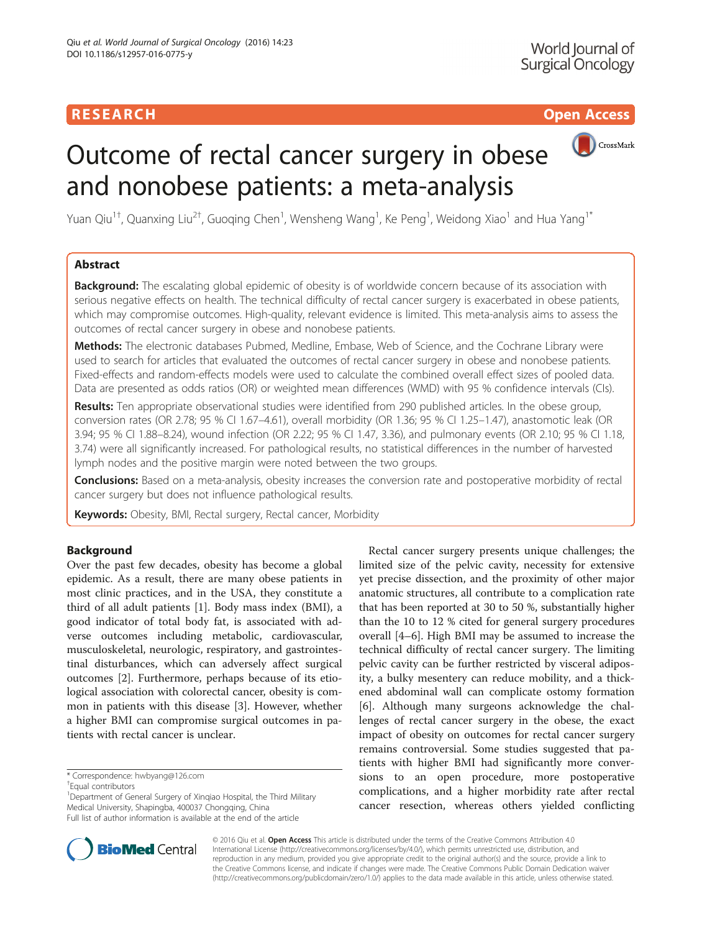# RESEARCH **RESEARCH CHOOSE ACCESS**



# Outcome of rectal cancer surgery in obese and nonobese patients: a meta-analysis

Yuan Qiu<sup>1†</sup>, Quanxing Liu<sup>2†</sup>, Guoqing Chen<sup>1</sup>, Wensheng Wang<sup>1</sup>, Ke Peng<sup>1</sup>, Weidong Xiao<sup>1</sup> and Hua Yang<sup>1\*</sup>

## Abstract

**Background:** The escalating global epidemic of obesity is of worldwide concern because of its association with serious negative effects on health. The technical difficulty of rectal cancer surgery is exacerbated in obese patients, which may compromise outcomes. High-quality, relevant evidence is limited. This meta-analysis aims to assess the outcomes of rectal cancer surgery in obese and nonobese patients.

Methods: The electronic databases Pubmed, Medline, Embase, Web of Science, and the Cochrane Library were used to search for articles that evaluated the outcomes of rectal cancer surgery in obese and nonobese patients. Fixed-effects and random-effects models were used to calculate the combined overall effect sizes of pooled data. Data are presented as odds ratios (OR) or weighted mean differences (WMD) with 95 % confidence intervals (CIs).

Results: Ten appropriate observational studies were identified from 290 published articles. In the obese group, conversion rates (OR 2.78; 95 % CI 1.67–4.61), overall morbidity (OR 1.36; 95 % CI 1.25–1.47), anastomotic leak (OR 3.94; 95 % CI 1.88–8.24), wound infection (OR 2.22; 95 % CI 1.47, 3.36), and pulmonary events (OR 2.10; 95 % CI 1.18, 3.74) were all significantly increased. For pathological results, no statistical differences in the number of harvested lymph nodes and the positive margin were noted between the two groups.

Conclusions: Based on a meta-analysis, obesity increases the conversion rate and postoperative morbidity of rectal cancer surgery but does not influence pathological results.

Keywords: Obesity, BMI, Rectal surgery, Rectal cancer, Morbidity

## Background

Over the past few decades, obesity has become a global epidemic. As a result, there are many obese patients in most clinic practices, and in the USA, they constitute a third of all adult patients [\[1\]](#page-5-0). Body mass index (BMI), a good indicator of total body fat, is associated with adverse outcomes including metabolic, cardiovascular, musculoskeletal, neurologic, respiratory, and gastrointestinal disturbances, which can adversely affect surgical outcomes [\[2](#page-5-0)]. Furthermore, perhaps because of its etiological association with colorectal cancer, obesity is common in patients with this disease [[3\]](#page-5-0). However, whether a higher BMI can compromise surgical outcomes in patients with rectal cancer is unclear.

<sup>1</sup>Department of General Surgery of Xinqiao Hospital, the Third Military Medical University, Shapingba, 400037 Chongqing, China Full list of author information is available at the end of the article

Rectal cancer surgery presents unique challenges; the limited size of the pelvic cavity, necessity for extensive yet precise dissection, and the proximity of other major anatomic structures, all contribute to a complication rate that has been reported at 30 to 50 %, substantially higher than the 10 to 12 % cited for general surgery procedures overall [\[4](#page-5-0)–[6\]](#page-5-0). High BMI may be assumed to increase the technical difficulty of rectal cancer surgery. The limiting pelvic cavity can be further restricted by visceral adiposity, a bulky mesentery can reduce mobility, and a thickened abdominal wall can complicate ostomy formation [[6\]](#page-5-0). Although many surgeons acknowledge the challenges of rectal cancer surgery in the obese, the exact impact of obesity on outcomes for rectal cancer surgery remains controversial. Some studies suggested that patients with higher BMI had significantly more conversions to an open procedure, more postoperative complications, and a higher morbidity rate after rectal cancer resection, whereas others yielded conflicting



© 2016 Qiu et al. Open Access This article is distributed under the terms of the Creative Commons Attribution 4.0 International License [\(http://creativecommons.org/licenses/by/4.0/](http://creativecommons.org/licenses/by/4.0/)), which permits unrestricted use, distribution, and reproduction in any medium, provided you give appropriate credit to the original author(s) and the source, provide a link to the Creative Commons license, and indicate if changes were made. The Creative Commons Public Domain Dedication waiver [\(http://creativecommons.org/publicdomain/zero/1.0/](http://creativecommons.org/publicdomain/zero/1.0/)) applies to the data made available in this article, unless otherwise stated.

<sup>\*</sup> Correspondence: [hwbyang@126.com](mailto:hwbyang@126.com) †

Equal contributors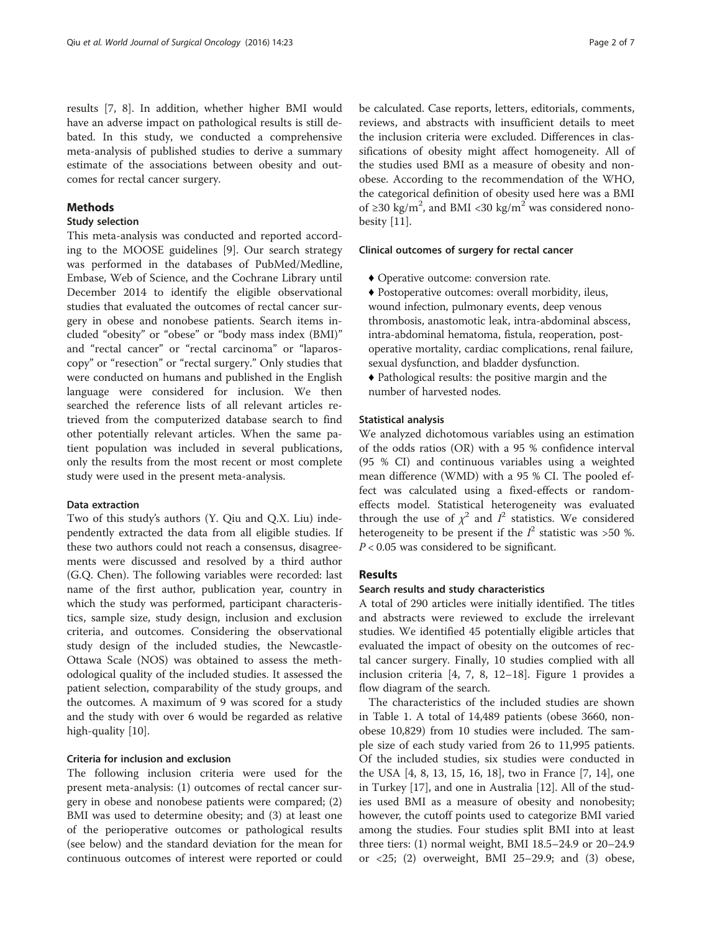results [[7, 8\]](#page-5-0). In addition, whether higher BMI would have an adverse impact on pathological results is still debated. In this study, we conducted a comprehensive meta-analysis of published studies to derive a summary estimate of the associations between obesity and outcomes for rectal cancer surgery.

## Methods

## Study selection

This meta-analysis was conducted and reported according to the MOOSE guidelines [\[9](#page-6-0)]. Our search strategy was performed in the databases of PubMed/Medline, Embase, Web of Science, and the Cochrane Library until December 2014 to identify the eligible observational studies that evaluated the outcomes of rectal cancer surgery in obese and nonobese patients. Search items included "obesity" or "obese" or "body mass index (BMI)" and "rectal cancer" or "rectal carcinoma" or "laparoscopy" or "resection" or "rectal surgery." Only studies that were conducted on humans and published in the English language were considered for inclusion. We then searched the reference lists of all relevant articles retrieved from the computerized database search to find other potentially relevant articles. When the same patient population was included in several publications, only the results from the most recent or most complete study were used in the present meta-analysis.

## Data extraction

Two of this study's authors (Y. Qiu and Q.X. Liu) independently extracted the data from all eligible studies. If these two authors could not reach a consensus, disagreements were discussed and resolved by a third author (G.Q. Chen). The following variables were recorded: last name of the first author, publication year, country in which the study was performed, participant characteristics, sample size, study design, inclusion and exclusion criteria, and outcomes. Considering the observational study design of the included studies, the Newcastle-Ottawa Scale (NOS) was obtained to assess the methodological quality of the included studies. It assessed the patient selection, comparability of the study groups, and the outcomes. A maximum of 9 was scored for a study and the study with over 6 would be regarded as relative high-quality [[10\]](#page-6-0).

## Criteria for inclusion and exclusion

The following inclusion criteria were used for the present meta-analysis: (1) outcomes of rectal cancer surgery in obese and nonobese patients were compared; (2) BMI was used to determine obesity; and (3) at least one of the perioperative outcomes or pathological results (see below) and the standard deviation for the mean for continuous outcomes of interest were reported or could be calculated. Case reports, letters, editorials, comments, reviews, and abstracts with insufficient details to meet the inclusion criteria were excluded. Differences in classifications of obesity might affect homogeneity. All of the studies used BMI as a measure of obesity and nonobese. According to the recommendation of the WHO, the categorical definition of obesity used here was a BMI of ≥30 kg/m<sup>2</sup>, and BMI <30 kg/m<sup>2</sup> was considered nonobesity [\[11](#page-6-0)].

## Clinical outcomes of surgery for rectal cancer

- ♦ Operative outcome: conversion rate.
- ♦ Postoperative outcomes: overall morbidity, ileus, wound infection, pulmonary events, deep venous thrombosis, anastomotic leak, intra-abdominal abscess, intra-abdominal hematoma, fistula, reoperation, postoperative mortality, cardiac complications, renal failure, sexual dysfunction, and bladder dysfunction.
- ♦ Pathological results: the positive margin and the number of harvested nodes.

#### Statistical analysis

We analyzed dichotomous variables using an estimation of the odds ratios (OR) with a 95 % confidence interval (95 % CI) and continuous variables using a weighted mean difference (WMD) with a 95 % CI. The pooled effect was calculated using a fixed-effects or randomeffects model. Statistical heterogeneity was evaluated through the use of  $\chi^2$  and  $I^2$  statistics. We considered heterogeneity to be present if the  $I^2$  statistic was >50 %.  $P < 0.05$  was considered to be significant.

## Results

#### Search results and study characteristics

A total of 290 articles were initially identified. The titles and abstracts were reviewed to exclude the irrelevant studies. We identified 45 potentially eligible articles that evaluated the impact of obesity on the outcomes of rectal cancer surgery. Finally, 10 studies complied with all inclusion criteria [\[4](#page-5-0), [7](#page-5-0), [8](#page-5-0), [12](#page-6-0)–[18\]](#page-6-0). Figure [1](#page-2-0) provides a flow diagram of the search.

The characteristics of the included studies are shown in Table [1](#page-2-0). A total of 14,489 patients (obese 3660, nonobese 10,829) from 10 studies were included. The sample size of each study varied from 26 to 11,995 patients. Of the included studies, six studies were conducted in the USA [\[4](#page-5-0), [8,](#page-5-0) [13, 15](#page-6-0), [16](#page-6-0), [18\]](#page-6-0), two in France [[7,](#page-5-0) [14](#page-6-0)], one in Turkey [[17\]](#page-6-0), and one in Australia [\[12\]](#page-6-0). All of the studies used BMI as a measure of obesity and nonobesity; however, the cutoff points used to categorize BMI varied among the studies. Four studies split BMI into at least three tiers: (1) normal weight, BMI 18.5–24.9 or 20–24.9 or <25; (2) overweight, BMI 25–29.9; and (3) obese,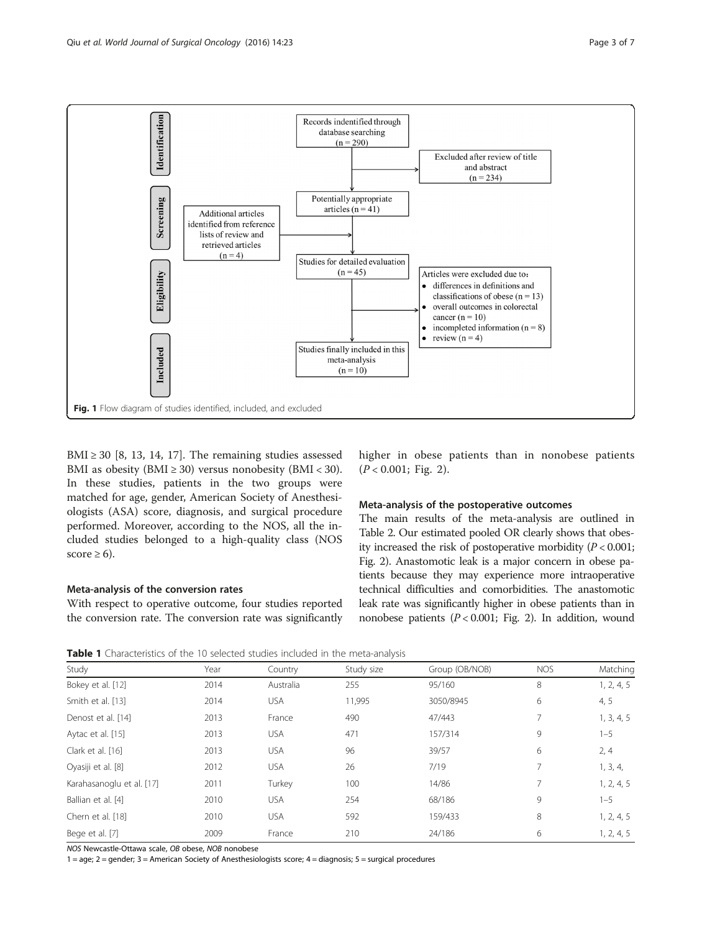<span id="page-2-0"></span>

BMI  $\geq$  30 [[8,](#page-5-0) [13](#page-6-0), [14, 17\]](#page-6-0). The remaining studies assessed BMI as obesity (BMI  $\geq$  30) versus nonobesity (BMI < 30). In these studies, patients in the two groups were matched for age, gender, American Society of Anesthesiologists (ASA) score, diagnosis, and surgical procedure performed. Moreover, according to the NOS, all the included studies belonged to a high-quality class (NOS score  $\geq 6$ ).

#### Meta-analysis of the conversion rates

With respect to operative outcome, four studies reported the conversion rate. The conversion rate was significantly

higher in obese patients than in nonobese patients  $(P < 0.001;$  Fig. [2\)](#page-3-0).

## Meta-analysis of the postoperative outcomes

The main results of the meta-analysis are outlined in Table [2.](#page-4-0) Our estimated pooled OR clearly shows that obesity increased the risk of postoperative morbidity  $(P < 0.001$ ; Fig. [2\)](#page-3-0). Anastomotic leak is a major concern in obese patients because they may experience more intraoperative technical difficulties and comorbidities. The anastomotic leak rate was significantly higher in obese patients than in nonobese patients  $(P < 0.001$ ; Fig. [2](#page-3-0)). In addition, wound

Table 1 Characteristics of the 10 selected studies included in the meta-analysis

| Study                     | Year | Country    | Study size | Group (OB/NOB) | <b>NOS</b> | Matching   |
|---------------------------|------|------------|------------|----------------|------------|------------|
| Bokey et al. [12]         | 2014 | Australia  | 255        | 95/160         | 8          | 1, 2, 4, 5 |
| Smith et al. [13]         | 2014 | <b>USA</b> | 11,995     | 3050/8945      | 6          | 4, 5       |
| Denost et al. [14]        | 2013 | France     | 490        | 47/443         | 7          | 1, 3, 4, 5 |
| Aytac et al. [15]         | 2013 | <b>USA</b> | 471        | 157/314        | 9          | $1 - 5$    |
| Clark et al. [16]         | 2013 | <b>USA</b> | 96         | 39/57          | 6          | 2, 4       |
| Oyasiji et al. [8]        | 2012 | <b>USA</b> | 26         | 7/19           | 7          | 1, 3, 4,   |
| Karahasanoglu et al. [17] | 2011 | Turkey     | 100        | 14/86          | 7          | 1, 2, 4, 5 |
| Ballian et al. [4]        | 2010 | <b>USA</b> | 254        | 68/186         | 9          | $1 - 5$    |
| Chern et al. [18]         | 2010 | <b>USA</b> | 592        | 159/433        | 8          | 1, 2, 4, 5 |
| Bege et al. [7]           | 2009 | France     | 210        | 24/186         | 6          | 1, 2, 4, 5 |

NOS Newcastle-Ottawa scale, OB obese, NOB nonobese

1 = age; 2 = gender; 3 = American Society of Anesthesiologists score; 4 = diagnosis; 5 = surgical procedures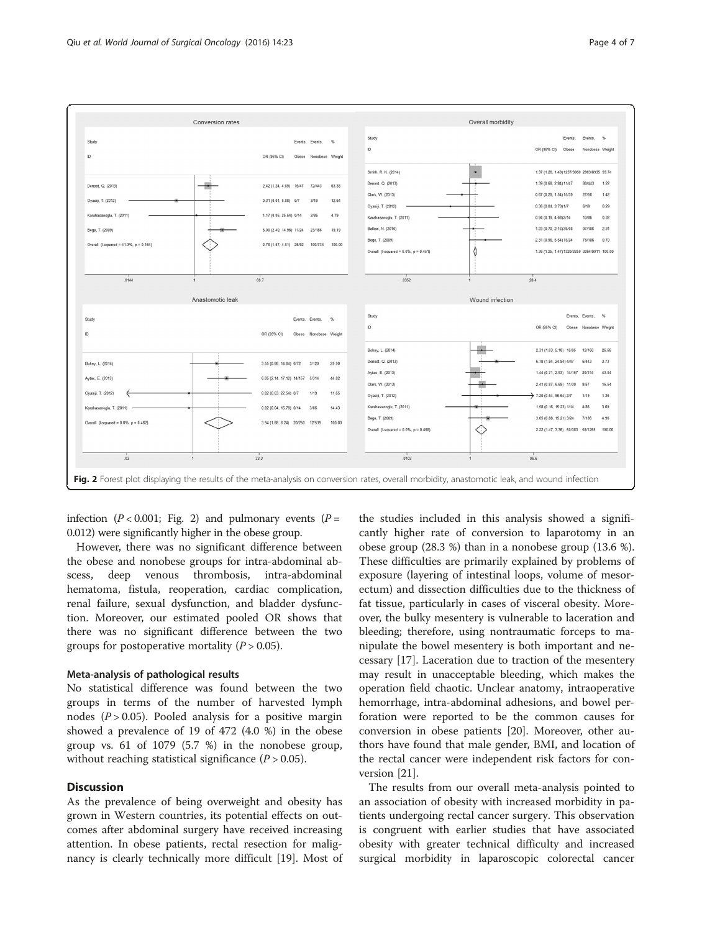<span id="page-3-0"></span>

infection ( $P < 0.001$ ; Fig. 2) and pulmonary events ( $P =$ 0.012) were significantly higher in the obese group.

However, there was no significant difference between the obese and nonobese groups for intra-abdominal abscess, deep venous thrombosis, intra-abdominal hematoma, fistula, reoperation, cardiac complication, renal failure, sexual dysfunction, and bladder dysfunction. Moreover, our estimated pooled OR shows that there was no significant difference between the two groups for postoperative mortality  $(P > 0.05)$ .

## Meta-analysis of pathological results

No statistical difference was found between the two groups in terms of the number of harvested lymph nodes ( $P > 0.05$ ). Pooled analysis for a positive margin showed a prevalence of 19 of 472 (4.0 %) in the obese group vs. 61 of 1079 (5.7 %) in the nonobese group, without reaching statistical significance  $(P > 0.05)$ .

## **Discussion**

As the prevalence of being overweight and obesity has grown in Western countries, its potential effects on outcomes after abdominal surgery have received increasing attention. In obese patients, rectal resection for malignancy is clearly technically more difficult [[19\]](#page-6-0). Most of

the studies included in this analysis showed a significantly higher rate of conversion to laparotomy in an obese group (28.3 %) than in a nonobese group (13.6 %). These difficulties are primarily explained by problems of exposure (layering of intestinal loops, volume of mesorectum) and dissection difficulties due to the thickness of fat tissue, particularly in cases of visceral obesity. Moreover, the bulky mesentery is vulnerable to laceration and bleeding; therefore, using nontraumatic forceps to manipulate the bowel mesentery is both important and necessary [[17\]](#page-6-0). Laceration due to traction of the mesentery may result in unacceptable bleeding, which makes the operation field chaotic. Unclear anatomy, intraoperative hemorrhage, intra-abdominal adhesions, and bowel perforation were reported to be the common causes for conversion in obese patients [\[20](#page-6-0)]. Moreover, other authors have found that male gender, BMI, and location of the rectal cancer were independent risk factors for conversion [\[21](#page-6-0)].

The results from our overall meta-analysis pointed to an association of obesity with increased morbidity in patients undergoing rectal cancer surgery. This observation is congruent with earlier studies that have associated obesity with greater technical difficulty and increased surgical morbidity in laparoscopic colorectal cancer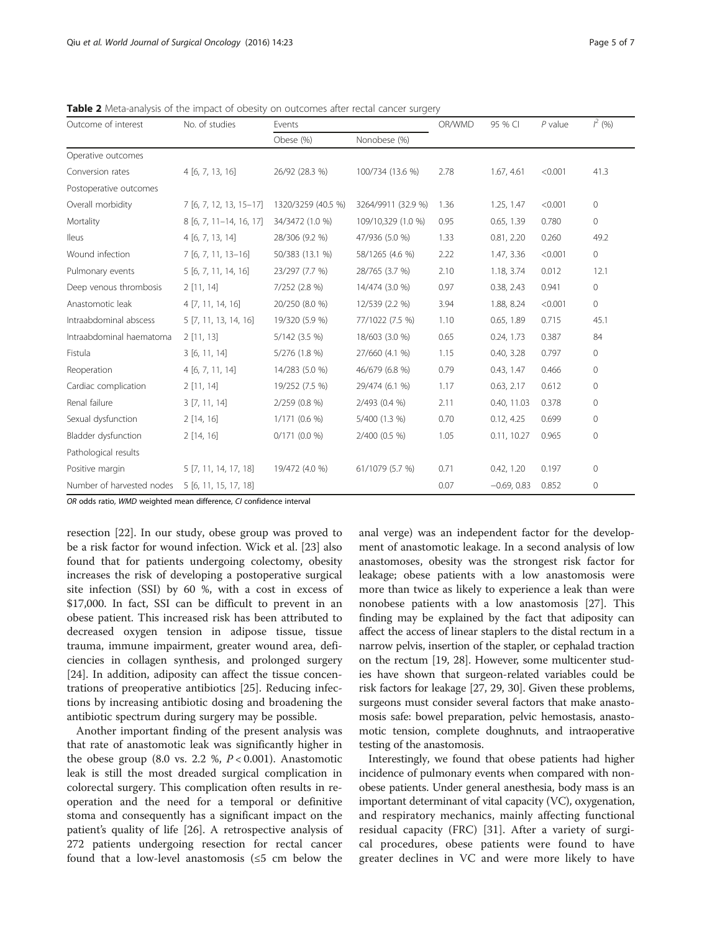<span id="page-4-0"></span>Table 2 Meta-analysis of the impact of obesity on outcomes after rectal cancer surgery

| Outcome of interest       | No. of studies          | Events             |                    | OR/WMD | 95 % CI       | $P$ value | $J^2(96)$      |
|---------------------------|-------------------------|--------------------|--------------------|--------|---------------|-----------|----------------|
|                           |                         | Obese (%)          | Nonobese (%)       |        |               |           |                |
| Operative outcomes        |                         |                    |                    |        |               |           |                |
| Conversion rates          | 4[6, 7, 13, 16]         | 26/92 (28.3 %)     | 100/734 (13.6 %)   | 2.78   | 1.67, 4.61    | < 0.001   | 41.3           |
| Postoperative outcomes    |                         |                    |                    |        |               |           |                |
| Overall morbidity         | 7 [6, 7, 12, 13, 15-17] | 1320/3259 (40.5 %) | 3264/9911 (32.9 %) | 1.36   | 1.25, 1.47    | < 0.001   | $\mathbf 0$    |
| Mortality                 | 8 [6, 7, 11-14, 16, 17] | 34/3472 (1.0 %)    | 109/10,329 (1.0 %) | 0.95   | 0.65, 1.39    | 0.780     | $\overline{0}$ |
| <b>Ileus</b>              | 4[6, 7, 13, 14]         | 28/306 (9.2 %)     | 47/936 (5.0 %)     | 1.33   | 0.81, 2.20    | 0.260     | 49.2           |
| Wound infection           | 7 [6, 7, 11, 13-16]     | 50/383 (13.1 %)    | 58/1265 (4.6 %)    | 2.22   | 1.47, 3.36    | < 0.001   | 0              |
| Pulmonary events          | 5 [6, 7, 11, 14, 16]    | 23/297 (7.7 %)     | 28/765 (3.7 %)     | 2.10   | 1.18, 3.74    | 0.012     | 12.1           |
| Deep venous thrombosis    | 2[11, 14]               | 7/252 (2.8 %)      | 14/474 (3.0 %)     | 0.97   | 0.38, 2.43    | 0.941     | $\mathbf 0$    |
| Anastomotic leak          | 4 [7, 11, 14, 16]       | 20/250 (8.0 %)     | 12/539 (2.2 %)     | 3.94   | 1.88, 8.24    | < 0.001   | $\circ$        |
| Intraabdominal abscess    | 5 [7, 11, 13, 14, 16]   | 19/320 (5.9 %)     | 77/1022 (7.5 %)    | 1.10   | 0.65, 1.89    | 0.715     | 45.1           |
| Intraabdominal haematoma  | 2[11, 13]               | 5/142 (3.5 %)      | 18/603 (3.0 %)     | 0.65   | 0.24, 1.73    | 0.387     | 84             |
| Fistula                   | 3[6, 11, 14]            | 5/276 (1.8 %)      | 27/660 (4.1 %)     | 1.15   | 0.40, 3.28    | 0.797     | $\mathbf{0}$   |
| Reoperation               | 4[6, 7, 11, 14]         | 14/283 (5.0 %)     | 46/679 (6.8 %)     | 0.79   | 0.43, 1.47    | 0.466     | $\mathbf 0$    |
| Cardiac complication      | 2[11, 14]               | 19/252 (7.5 %)     | 29/474 (6.1 %)     | 1.17   | 0.63, 2.17    | 0.612     | $\mathbf{0}$   |
| Renal failure             | 3 [7, 11, 14]           | 2/259 (0.8 %)      | 2/493 (0.4 %)      | 2.11   | 0.40, 11.03   | 0.378     | $\mathbf{0}$   |
| Sexual dysfunction        | 2[14, 16]               | $1/171(0.6\%)$     | 5/400 (1.3 %)      | 0.70   | 0.12, 4.25    | 0.699     | 0              |
| Bladder dysfunction       | 2 [14, 16]              | $0/171(0.0\%)$     | 2/400 (0.5 %)      | 1.05   | 0.11, 10.27   | 0.965     | $\mathbf{0}$   |
| Pathological results      |                         |                    |                    |        |               |           |                |
| Positive margin           | 5 [7, 11, 14, 17, 18]   | 19/472 (4.0 %)     | 61/1079 (5.7 %)    | 0.71   | 0.42, 1.20    | 0.197     | $\mathbf{0}$   |
| Number of harvested nodes | 5 [6, 11, 15, 17, 18]   |                    |                    | 0.07   | $-0.69, 0.83$ | 0.852     | 0              |

OR odds ratio, WMD weighted mean difference, CI confidence interval

resection [[22](#page-6-0)]. In our study, obese group was proved to be a risk factor for wound infection. Wick et al. [[23](#page-6-0)] also found that for patients undergoing colectomy, obesity increases the risk of developing a postoperative surgical site infection (SSI) by 60 %, with a cost in excess of \$17,000. In fact, SSI can be difficult to prevent in an obese patient. This increased risk has been attributed to decreased oxygen tension in adipose tissue, tissue trauma, immune impairment, greater wound area, deficiencies in collagen synthesis, and prolonged surgery [[24\]](#page-6-0). In addition, adiposity can affect the tissue concentrations of preoperative antibiotics [[25\]](#page-6-0). Reducing infections by increasing antibiotic dosing and broadening the antibiotic spectrum during surgery may be possible.

Another important finding of the present analysis was that rate of anastomotic leak was significantly higher in the obese group (8.0 vs. 2.2 %,  $P < 0.001$ ). Anastomotic leak is still the most dreaded surgical complication in colorectal surgery. This complication often results in reoperation and the need for a temporal or definitive stoma and consequently has a significant impact on the patient's quality of life [[26\]](#page-6-0). A retrospective analysis of 272 patients undergoing resection for rectal cancer found that a low-level anastomosis ( $\leq$ 5 cm below the

anal verge) was an independent factor for the development of anastomotic leakage. In a second analysis of low anastomoses, obesity was the strongest risk factor for leakage; obese patients with a low anastomosis were more than twice as likely to experience a leak than were nonobese patients with a low anastomosis [[27](#page-6-0)]. This finding may be explained by the fact that adiposity can affect the access of linear staplers to the distal rectum in a narrow pelvis, insertion of the stapler, or cephalad traction on the rectum [[19](#page-6-0), [28](#page-6-0)]. However, some multicenter studies have shown that surgeon-related variables could be risk factors for leakage [[27](#page-6-0), [29, 30\]](#page-6-0). Given these problems, surgeons must consider several factors that make anastomosis safe: bowel preparation, pelvic hemostasis, anastomotic tension, complete doughnuts, and intraoperative testing of the anastomosis.

Interestingly, we found that obese patients had higher incidence of pulmonary events when compared with nonobese patients. Under general anesthesia, body mass is an important determinant of vital capacity (VC), oxygenation, and respiratory mechanics, mainly affecting functional residual capacity (FRC) [\[31](#page-6-0)]. After a variety of surgical procedures, obese patients were found to have greater declines in VC and were more likely to have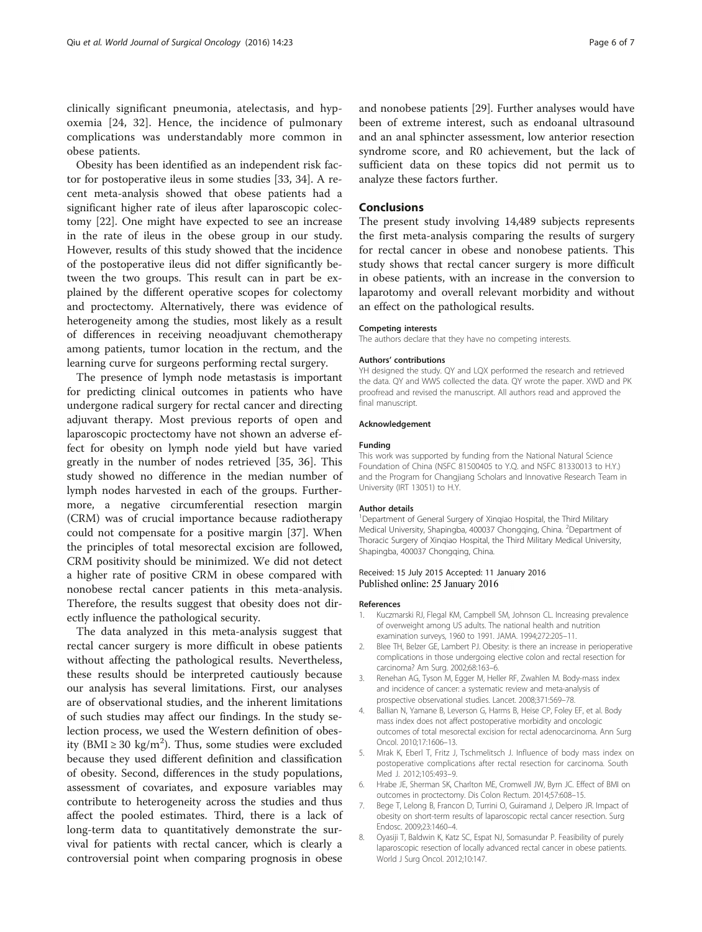<span id="page-5-0"></span>clinically significant pneumonia, atelectasis, and hypoxemia [\[24](#page-6-0), [32](#page-6-0)]. Hence, the incidence of pulmonary complications was understandably more common in obese patients.

Obesity has been identified as an independent risk factor for postoperative ileus in some studies [[33, 34\]](#page-6-0). A recent meta-analysis showed that obese patients had a significant higher rate of ileus after laparoscopic colectomy [[22](#page-6-0)]. One might have expected to see an increase in the rate of ileus in the obese group in our study. However, results of this study showed that the incidence of the postoperative ileus did not differ significantly between the two groups. This result can in part be explained by the different operative scopes for colectomy and proctectomy. Alternatively, there was evidence of heterogeneity among the studies, most likely as a result of differences in receiving neoadjuvant chemotherapy among patients, tumor location in the rectum, and the learning curve for surgeons performing rectal surgery.

The presence of lymph node metastasis is important for predicting clinical outcomes in patients who have undergone radical surgery for rectal cancer and directing adjuvant therapy. Most previous reports of open and laparoscopic proctectomy have not shown an adverse effect for obesity on lymph node yield but have varied greatly in the number of nodes retrieved [\[35, 36\]](#page-6-0). This study showed no difference in the median number of lymph nodes harvested in each of the groups. Furthermore, a negative circumferential resection margin (CRM) was of crucial importance because radiotherapy could not compensate for a positive margin [[37](#page-6-0)]. When the principles of total mesorectal excision are followed, CRM positivity should be minimized. We did not detect a higher rate of positive CRM in obese compared with nonobese rectal cancer patients in this meta-analysis. Therefore, the results suggest that obesity does not directly influence the pathological security.

The data analyzed in this meta-analysis suggest that rectal cancer surgery is more difficult in obese patients without affecting the pathological results. Nevertheless, these results should be interpreted cautiously because our analysis has several limitations. First, our analyses are of observational studies, and the inherent limitations of such studies may affect our findings. In the study selection process, we used the Western definition of obesity (BMI  $\geq$  30 kg/m<sup>2</sup>). Thus, some studies were excluded because they used different definition and classification of obesity. Second, differences in the study populations, assessment of covariates, and exposure variables may contribute to heterogeneity across the studies and thus affect the pooled estimates. Third, there is a lack of long-term data to quantitatively demonstrate the survival for patients with rectal cancer, which is clearly a controversial point when comparing prognosis in obese and nonobese patients [\[29](#page-6-0)]. Further analyses would have been of extreme interest, such as endoanal ultrasound and an anal sphincter assessment, low anterior resection syndrome score, and R0 achievement, but the lack of sufficient data on these topics did not permit us to analyze these factors further.

### Conclusions

The present study involving 14,489 subjects represents the first meta-analysis comparing the results of surgery for rectal cancer in obese and nonobese patients. This study shows that rectal cancer surgery is more difficult in obese patients, with an increase in the conversion to laparotomy and overall relevant morbidity and without an effect on the pathological results.

#### Competing interests

The authors declare that they have no competing interests.

#### Authors' contributions

YH designed the study. QY and LQX performed the research and retrieved the data. QY and WWS collected the data. QY wrote the paper. XWD and PK proofread and revised the manuscript. All authors read and approved the final manuscript.

#### Acknowledgement

#### Funding

This work was supported by funding from the National Natural Science Foundation of China (NSFC 81500405 to Y.Q. and NSFC 81330013 to H.Y.) and the Program for Changjiang Scholars and Innovative Research Team in University (IRT 13051) to H.Y.

#### Author details

<sup>1</sup>Department of General Surgery of Xinqiao Hospital, the Third Military Medical University, Shapingba, 400037 Chongqing, China. <sup>2</sup>Department of Thoracic Surgery of Xinqiao Hospital, the Third Military Medical University, Shapingba, 400037 Chongqing, China.

### Received: 15 July 2015 Accepted: 11 January 2016 Published online: 25 January 2016

#### References

- Kuczmarski RJ, Flegal KM, Campbell SM, Johnson CL. Increasing prevalence of overweight among US adults. The national health and nutrition examination surveys, 1960 to 1991. JAMA. 1994;272:205–11.
- 2. Blee TH, Belzer GE, Lambert PJ. Obesity: is there an increase in perioperative complications in those undergoing elective colon and rectal resection for carcinoma? Am Surg. 2002;68:163–6.
- 3. Renehan AG, Tyson M, Egger M, Heller RF, Zwahlen M. Body-mass index and incidence of cancer: a systematic review and meta-analysis of prospective observational studies. Lancet. 2008;371:569–78.
- 4. Ballian N, Yamane B, Leverson G, Harms B, Heise CP, Foley EF, et al. Body mass index does not affect postoperative morbidity and oncologic outcomes of total mesorectal excision for rectal adenocarcinoma. Ann Surg Oncol. 2010;17:1606–13.
- 5. Mrak K, Eberl T, Fritz J, Tschmelitsch J. Influence of body mass index on postoperative complications after rectal resection for carcinoma. South Med J. 2012;105:493–9.
- 6. Hrabe JE, Sherman SK, Charlton ME, Cromwell JW, Byrn JC. Effect of BMI on outcomes in proctectomy. Dis Colon Rectum. 2014;57:608–15.
- 7. Bege T, Lelong B, Francon D, Turrini O, Guiramand J, Delpero JR. Impact of obesity on short-term results of laparoscopic rectal cancer resection. Surg Endosc. 2009;23:1460–4.
- 8. Oyasiji T, Baldwin K, Katz SC, Espat NJ, Somasundar P. Feasibility of purely laparoscopic resection of locally advanced rectal cancer in obese patients. World J Surg Oncol. 2012;10:147.